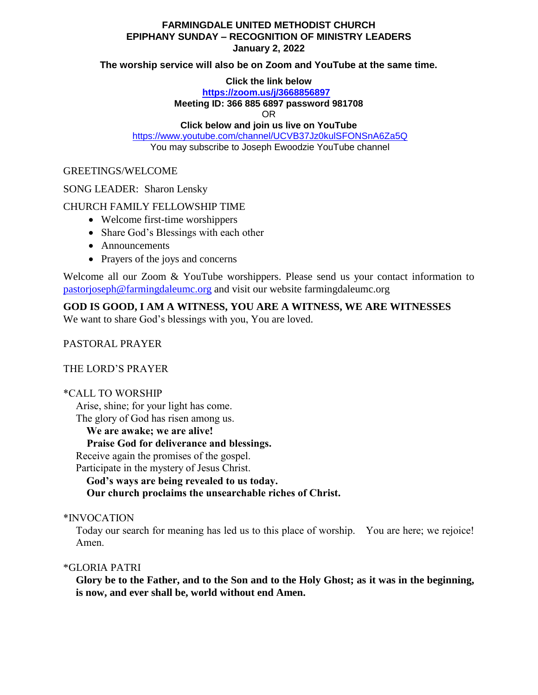# **FARMINGDALE UNITED METHODIST CHURCH EPIPHANY SUNDAY – RECOGNITION OF MINISTRY LEADERS January 2, 2022**

### **The worship service will also be on Zoom and YouTube at the same time.**

### **Click the link below**

# **<https://zoom.us/j/3668856897>**

#### **Meeting ID: 366 885 6897 password 981708**

OR

## **Click below and join us live on YouTube**

<https://www.youtube.com/channel/UCVB37Jz0kulSFONSnA6Za5Q> You may subscribe to Joseph Ewoodzie YouTube channel

## GREETINGS/WELCOME

### SONG LEADER: Sharon Lensky

# CHURCH FAMILY FELLOWSHIP TIME

- Welcome first-time worshippers
- Share God's Blessings with each other
- Announcements
- Prayers of the joys and concerns

Welcome all our Zoom & YouTube worshippers. Please send us your contact information to [pastorjoseph@farmingdaleumc.org](mailto:pastorjoseph@farmingdaleumc.org) and visit our website farmingdaleumc.org

# **GOD IS GOOD, I AM A WITNESS, YOU ARE A WITNESS, WE ARE WITNESSES**

We want to share God's blessings with you, You are loved.

# PASTORAL PRAYER

# THE LORD'S PRAYER

# \*CALL TO WORSHIP

Arise, shine; for your light has come.

The glory of God has risen among us.

**We are awake; we are alive!**

#### **Praise God for deliverance and blessings.**

Receive again the promises of the gospel.

Participate in the mystery of Jesus Christ.

**God's ways are being revealed to us today.**

 **Our church proclaims the unsearchable riches of Christ.**

### \*INVOCATION

Today our search for meaning has led us to this place of worship. You are here; we rejoice! Amen.

# \*GLORIA PATRI

**Glory be to the Father, and to the Son and to the Holy Ghost; as it was in the beginning, is now, and ever shall be, world without end Amen.**